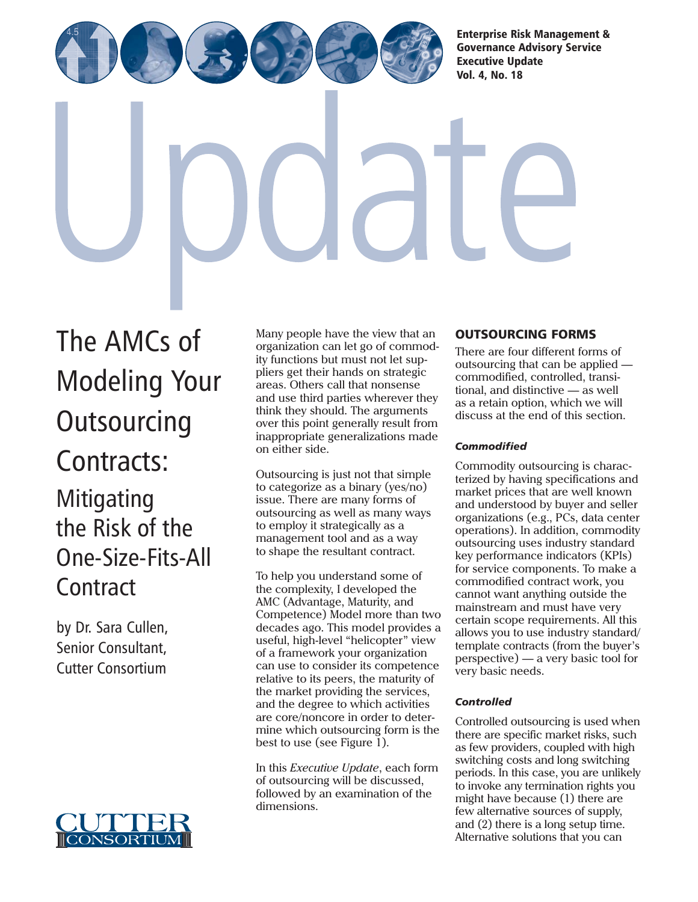[Enterprise Risk Management &](http://www.cutter.com) Governance Advisory Service

Executive Update Vol. 4, No. 18

The AMCs of [Modeling Your](http://www.cutter.com) **Outsourcing** Contracts: Mitigating the Risk of the One-Size-Fits-All **Contract** 

by Dr. Sara Cullen, Senior Consultant, Cutter Consortium



Many people have the view that an organization can let go of commodity functions but must not let suppliers get their hands on strategic areas. Others call that nonsense and use third parties wherever they think they should. The arguments over this point generally result from inappropriate generalizations made on either side.

Outsourcing is just not that simple to categorize as a binary (yes/no) issue. There are many forms of outsourcing as well as many ways to employ it strategically as a management tool and as a way to shape the resultant contract.

To help you understand some of the complexity, I developed the AMC (Advantage, Maturity, and Competence) Model more than two decades ago. This model provides a useful, high-level "helicopter" view of a framework your organization can use to consider its competence relative to its peers, the maturity of the market providing the services, and the degree to which activities are core/noncore in order to determine which outsourcing form is the best to use (see Figure 1).

In this *Executive Update*, each form of outsourcing will be discussed, followed by an examination of the dimensions.

# OUTSOURCING FORMS

There are four different forms of outsourcing that can be applied commodified, controlled, transitional, and distinctive — as well as a retain option, which we will discuss at the end of this section.

## *Commodified*

Commodity outsourcing is characterized by having specifications and market prices that are well known and understood by buyer and seller organizations (e.g., PCs, data center operations). In addition, commodity outsourcing uses industry standard key performance indicators (KPIs) for service components. To make a commodified contract work, you cannot want anything outside the mainstream and must have very certain scope requirements. All this allows you to use industry standard/ template contracts (from the buyer's perspective) — a very basic tool for very basic needs.

## *Controlled*

Controlled outsourcing is used when there are specific market risks, such as few providers, coupled with high switching costs and long switching periods. In this case, you are unlikely to invoke any termination rights you might have because (1) there are few alternative sources of supply, and (2) there is a long setup time. Alternative solutions that you can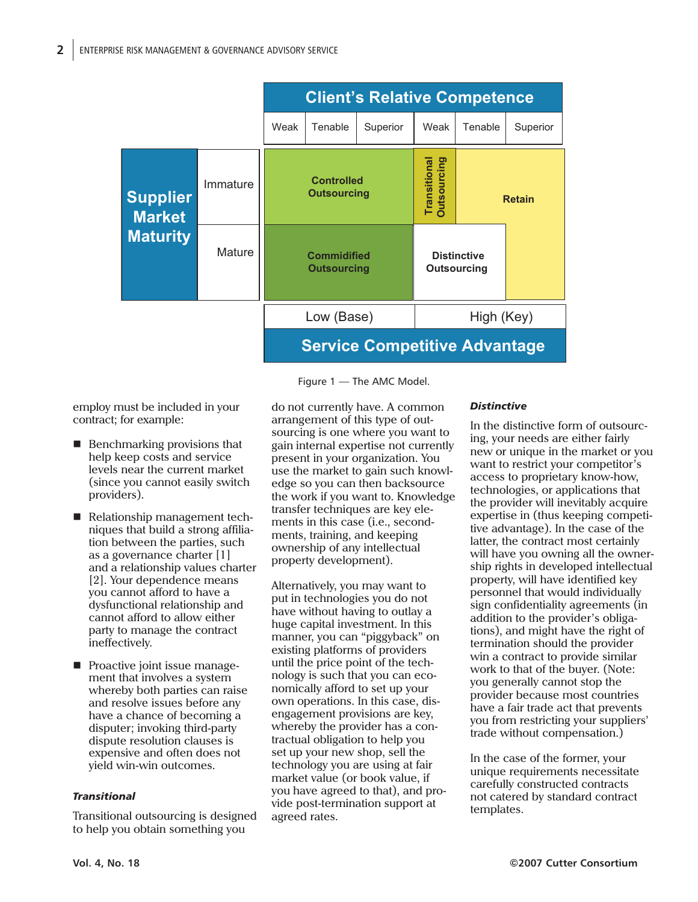

Figure 1 — The AMC Model.

employ must be included in your contract; for example:

- **Benchmarking provisions that** help keep costs and service levels near the current market (since you cannot easily switch providers).
- Relationship management techniques that build a strong affiliation between the parties, such as a governance charter [1] and a relationship values charter [2]. Your dependence means you cannot afford to have a dysfunctional relationship and cannot afford to allow either party to manage the contract ineffectively.
- **Proactive joint issue manage**ment that involves a system whereby both parties can raise and resolve issues before any have a chance of becoming a disputer; invoking third-party dispute resolution clauses is expensive and often does not yield win-win outcomes.

#### *Transitional*

Transitional outsourcing is designed to help you obtain something you

do not currently have. A common arrangement of this type of outsourcing is one where you want to gain internal expertise not currently present in your organization. You use the market to gain such knowledge so you can then backsource the work if you want to. Knowledge transfer techniques are key elements in this case (i.e., secondments, training, and keeping ownership of any intellectual property development).

Alternatively, you may want to put in technologies you do not have without having to outlay a huge capital investment. In this manner, you can "piggyback" on existing platforms of providers until the price point of the technology is such that you can economically afford to set up your own operations. In this case, disengagement provisions are key, whereby the provider has a contractual obligation to help you set up your new shop, sell the technology you are using at fair market value (or book value, if you have agreed to that), and provide post-termination support at agreed rates.

#### *Distinctive*

In the distinctive form of outsourcing, your needs are either fairly new or unique in the market or you want to restrict your competitor's access to proprietary know-how, technologies, or applications that the provider will inevitably acquire expertise in (thus keeping competitive advantage). In the case of the latter, the contract most certainly will have you owning all the ownership rights in developed intellectual property, will have identified key personnel that would individually sign confidentiality agreements (in addition to the provider's obligations), and might have the right of termination should the provider win a contract to provide similar work to that of the buyer. (Note: you generally cannot stop the provider because most countries have a fair trade act that prevents you from restricting your suppliers' trade without compensation.)

In the case of the former, your unique requirements necessitate carefully constructed contracts not catered by standard contract templates.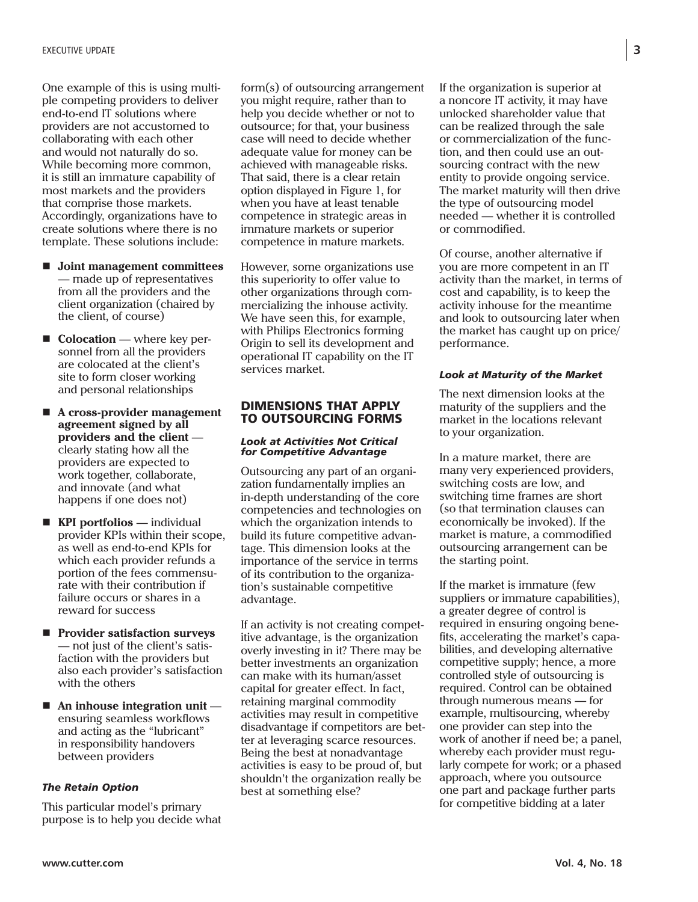One example of this is using multiple competing providers to deliver end-to-end IT solutions where providers are not accustomed to collaborating with each other and would not naturally do so. While becoming more common, it is still an immature capability of most markets and the providers that comprise those markets. Accordingly, organizations have to create solutions where there is no template. These solutions include:

- **Joint management committees** — made up of representatives from all the providers and the client organization (chaired by the client, of course)
- **Colocation** where key personnel from all the providers are colocated at the client's site to form closer working and personal relationships
- A cross-provider management **agreement signed by all providers and the client** clearly stating how all the providers are expected to work together, collaborate, and innovate (and what happens if one does not)
- **KPI portfolios** individual provider KPIs within their scope, as well as end-to-end KPIs for which each provider refunds a portion of the fees commensurate with their contribution if failure occurs or shares in a reward for success
- **Provider satisfaction surveys** — not just of the client's satisfaction with the providers but also each provider's satisfaction with the others
- **An inhouse integration unit** ensuring seamless workflows and acting as the "lubricant" in responsibility handovers between providers

#### *The Retain Option*

This particular model's primary purpose is to help you decide what form(s) of outsourcing arrangement you might require, rather than to help you decide whether or not to outsource; for that, your business case will need to decide whether adequate value for money can be achieved with manageable risks. That said, there is a clear retain option displayed in Figure 1, for when you have at least tenable competence in strategic areas in immature markets or superior competence in mature markets.

However, some organizations use this superiority to offer value to other organizations through commercializing the inhouse activity. We have seen this, for example, with Philips Electronics forming Origin to sell its development and operational IT capability on the IT services market.

#### DIMENSIONS THAT APPLY TO OUTSOURCING FORMS

#### *Look at Activities Not Critical for Competitive Advantage*

Outsourcing any part of an organization fundamentally implies an in-depth understanding of the core competencies and technologies on which the organization intends to build its future competitive advantage. This dimension looks at the importance of the service in terms of its contribution to the organization's sustainable competitive advantage.

If an activity is not creating competitive advantage, is the organization overly investing in it? There may be better investments an organization can make with its human/asset capital for greater effect. In fact, retaining marginal commodity activities may result in competitive disadvantage if competitors are better at leveraging scarce resources. Being the best at nonadvantage activities is easy to be proud of, but shouldn't the organization really be best at something else?

If the organization is superior at a noncore IT activity, it may have unlocked shareholder value that can be realized through the sale or commercialization of the function, and then could use an outsourcing contract with the new entity to provide ongoing service. The market maturity will then drive the type of outsourcing model needed — whether it is controlled or commodified.

Of course, another alternative if you are more competent in an IT activity than the market, in terms of cost and capability, is to keep the activity inhouse for the meantime and look to outsourcing later when the market has caught up on price/ performance.

#### *Look at Maturity of the Market*

The next dimension looks at the maturity of the suppliers and the market in the locations relevant to your organization.

In a mature market, there are many very experienced providers, switching costs are low, and switching time frames are short (so that termination clauses can economically be invoked). If the market is mature, a commodified outsourcing arrangement can be the starting point.

If the market is immature (few suppliers or immature capabilities), a greater degree of control is required in ensuring ongoing benefits, accelerating the market's capabilities, and developing alternative competitive supply; hence, a more controlled style of outsourcing is required. Control can be obtained through numerous means — for example, multisourcing, whereby one provider can step into the work of another if need be; a panel, whereby each provider must regularly compete for work; or a phased approach, where you outsource one part and package further parts for competitive bidding at a later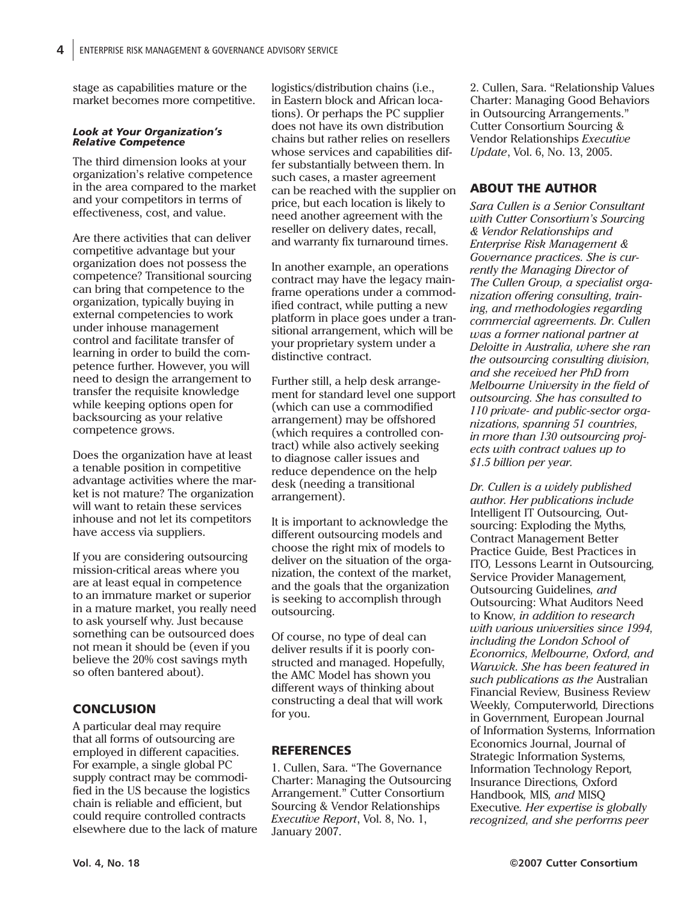stage as capabilities mature or the market becomes more competitive.

#### *Look at Your Organization's Relative Competence*

The third dimension looks at your organization's relative competence in the area compared to the market and your competitors in terms of effectiveness, cost, and value.

Are there activities that can deliver competitive advantage but your organization does not possess the competence? Transitional sourcing can bring that competence to the organization, typically buying in external competencies to work under inhouse management control and facilitate transfer of learning in order to build the competence further. However, you will need to design the arrangement to transfer the requisite knowledge while keeping options open for backsourcing as your relative competence grows.

Does the organization have at least a tenable position in competitive advantage activities where the market is not mature? The organization will want to retain these services inhouse and not let its competitors have access via suppliers.

If you are considering outsourcing mission-critical areas where you are at least equal in competence to an immature market or superior in a mature market, you really need to ask yourself why. Just because something can be outsourced does not mean it should be (even if you believe the 20% cost savings myth so often bantered about).

## **CONCLUSION**

A particular deal may require that all forms of outsourcing are employed in different capacities. For example, a single global PC supply contract may be commodified in the US because the logistics chain is reliable and efficient, but could require controlled contracts elsewhere due to the lack of mature logistics/distribution chains (i.e., in Eastern block and African locations). Or perhaps the PC supplier does not have its own distribution chains but rather relies on resellers whose services and capabilities differ substantially between them. In such cases, a master agreement can be reached with the supplier on price, but each location is likely to need another agreement with the reseller on delivery dates, recall, and warranty fix turnaround times.

In another example, an operations contract may have the legacy mainframe operations under a commodified contract, while putting a new platform in place goes under a transitional arrangement, which will be your proprietary system under a distinctive contract.

Further still, a help desk arrangement for standard level one support (which can use a commodified arrangement) may be offshored (which requires a controlled contract) while also actively seeking to diagnose caller issues and reduce dependence on the help desk (needing a transitional arrangement).

It is important to acknowledge the different outsourcing models and choose the right mix of models to deliver on the situation of the organization, the context of the market, and the goals that the organization is seeking to accomplish through outsourcing.

Of course, no type of deal can deliver results if it is poorly constructed and managed. Hopefully, the AMC Model has shown you different ways of thinking about constructing a deal that will work for you.

## REFERENCES

1. Cullen, Sara. "The Governance Charter: Managing the Outsourcing Arrangement." Cutter Consortium Sourcing & Vendor Relationships *Executive Report*, Vol. 8, No. 1, January 2007.

2. Cullen, Sara. "Relationship Values Charter: Managing Good Behaviors in Outsourcing Arrangements." Cutter Consortium Sourcing & Vendor Relationships *Executive Update*, Vol. 6, No. 13, 2005.

## ABOUT THE AUTHOR

*Sara Cullen is a Senior Consultant with Cutter Consortium's Sourcing & Vendor Relationships and Enterprise Risk Management & Governance practices. She is currently the Managing Director of The Cullen Group, a specialist organization offering consulting, training, and methodologies regarding commercial agreements. Dr. Cullen was a former national partner at Deloitte in Australia, where she ran the outsourcing consulting division, and she received her PhD from Melbourne University in the field of outsourcing. She has consulted to 110 private- and public-sector organizations, spanning 51 countries, in more than 130 outsourcing projects with contract values up to \$1.5 billion per year.*

*Dr. Cullen is a widely published author. Her publications include* Intelligent IT Outsourcing*,* Outsourcing: Exploding the Myths*,* Contract Management Better Practice Guide*,* Best Practices in ITO*,* Lessons Learnt in Outsourcing*,* Service Provider Management*,* Outsourcing Guidelines*, and* Outsourcing: What Auditors Need to Know*, in addition to research with various universities since 1994, including the London School of Economics, Melbourne, Oxford, and Warwick. She has been featured in such publications as the* Australian Financial Review*,* Business Review Weekly*,* Computerworld*,* Directions in Government*,* European Journal of Information Systems*,* Information Economics Journal, Journal of Strategic Information Systems*,* Information Technology Report*,* Insurance Directions*,* Oxford Handbook*,* MIS*, and* MISQ Executive*. Her expertise is globally recognized, and she performs peer*